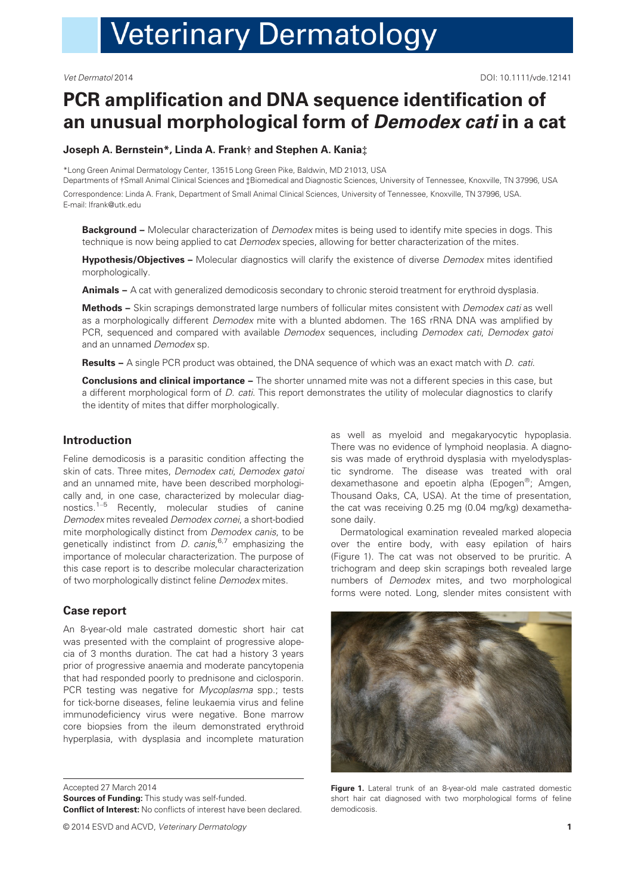# **Veterinary Dermatology**

# PCR amplification and DNA sequence identification of an unusual morphological form of Demodex cati in a cat

#### Joseph A. Bernstein\*, Linda A. Frank† and Stephen A. Kania‡

\*Long Green Animal Dermatology Center, 13515 Long Green Pike, Baldwin, MD 21013, USA Departments of †Small Animal Clinical Sciences and ‡Biomedical and Diagnostic Sciences, University of Tennessee, Knoxville, TN 37996, USA

Correspondence: Linda A. Frank, Department of Small Animal Clinical Sciences, University of Tennessee, Knoxville, TN 37996, USA. E-mail: lfrank@utk.edu

**Background –** Molecular characterization of *Demodex* mites is being used to identify mite species in dogs. This technique is now being applied to cat *Demodex* species, allowing for better characterization of the mites.

Hypothesis/Objectives - Molecular diagnostics will clarify the existence of diverse Demodex mites identified morphologically.

Animals – A cat with generalized demodicosis secondary to chronic steroid treatment for erythroid dysplasia.

Methods – Skin scrapings demonstrated large numbers of follicular mites consistent with Demodex cati as well as a morphologically different Demodex mite with a blunted abdomen. The 16S rRNA DNA was amplified by PCR, sequenced and compared with available Demodex sequences, including Demodex cati, Demodex gatoi and an unnamed Demodex sp.

Results – A single PCR product was obtained, the DNA sequence of which was an exact match with D. cati.

**Conclusions and clinical importance –** The shorter unnamed mite was not a different species in this case, but a different morphological form of D. cati. This report demonstrates the utility of molecular diagnostics to clarify the identity of mites that differ morphologically.

# Introduction

Feline demodicosis is a parasitic condition affecting the skin of cats. Three mites, Demodex cati, Demodex gatoi and an unnamed mite, have been described morphologically and, in one case, characterized by molecular diagnostics.<sup>1–5</sup> Recently, molecular studies of canine Demodex mites revealed Demodex cornei, a short-bodied mite morphologically distinct from Demodex canis, to be genetically indistinct from *D. canis*,<sup>6,7</sup> emphasizing the importance of molecular characterization. The purpose of this case report is to describe molecular characterization of two morphologically distinct feline Demodex mites.

## Case report

An 8-year-old male castrated domestic short hair cat was presented with the complaint of progressive alopecia of 3 months duration. The cat had a history 3 years prior of progressive anaemia and moderate pancytopenia that had responded poorly to prednisone and ciclosporin. PCR testing was negative for Mycoplasma spp.; tests for tick-borne diseases, feline leukaemia virus and feline immunodeficiency virus were negative. Bone marrow core biopsies from the ileum demonstrated erythroid hyperplasia, with dysplasia and incomplete maturation

Accepted 27 March 2014 Sources of Funding: This study was self-funded. Conflict of Interest: No conflicts of interest have been declared.

© 2014 ESVD and ACVD, Veterinary Dermatology 1

as well as myeloid and megakaryocytic hypoplasia. There was no evidence of lymphoid neoplasia. A diagnosis was made of erythroid dysplasia with myelodysplastic syndrome. The disease was treated with oral dexamethasone and epoetin alpha (Epogen®; Amgen, Thousand Oaks, CA, USA). At the time of presentation, the cat was receiving 0.25 mg (0.04 mg/kg) dexamethasone daily.

Dermatological examination revealed marked alopecia over the entire body, with easy epilation of hairs (Figure 1). The cat was not observed to be pruritic. A trichogram and deep skin scrapings both revealed large numbers of Demodex mites, and two morphological forms were noted. Long, slender mites consistent with



Figure 1. Lateral trunk of an 8-year-old male castrated domestic short hair cat diagnosed with two morphological forms of feline demodicosis.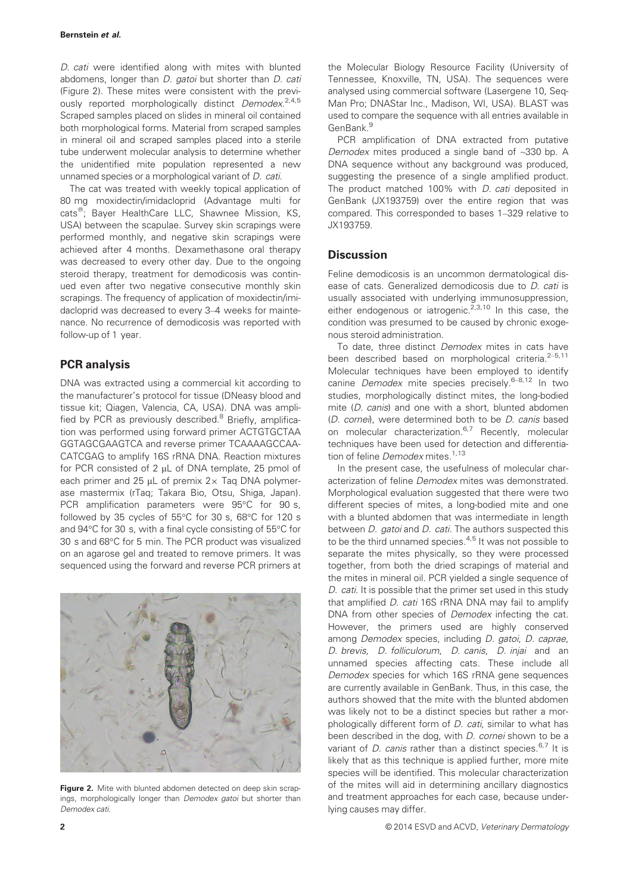D. cati were identified along with mites with blunted abdomens, longer than *D. gatoi* but shorter than *D. cati* (Figure 2). These mites were consistent with the previously reported morphologically distinct Demodex.<sup>2,4,5</sup> Scraped samples placed on slides in mineral oil contained both morphological forms. Material from scraped samples in mineral oil and scraped samples placed into a sterile tube underwent molecular analysis to determine whether the unidentified mite population represented a new unnamed species or a morphological variant of D. cati.

The cat was treated with weekly topical application of 80 mg moxidectin/imidacloprid (Advantage multi for cats<sup>®</sup>; Bayer HealthCare LLC, Shawnee Mission, KS, USA) between the scapulae. Survey skin scrapings were performed monthly, and negative skin scrapings were achieved after 4 months. Dexamethasone oral therapy was decreased to every other day. Due to the ongoing steroid therapy, treatment for demodicosis was continued even after two negative consecutive monthly skin scrapings. The frequency of application of moxidectin/imidacloprid was decreased to every 3–4 weeks for maintenance. No recurrence of demodicosis was reported with follow-up of 1 year.

# PCR analysis

DNA was extracted using a commercial kit according to the manufacturer's protocol for tissue (DNeasy blood and tissue kit; Qiagen, Valencia, CA, USA). DNA was amplified by PCR as previously described.<sup>8</sup> Briefly, amplification was performed using forward primer ACTGTGCTAA GGTAGCGAAGTCA and reverse primer TCAAAAGCCAA-CATCGAG to amplify 16S rRNA DNA. Reaction mixtures for PCR consisted of 2  $\mu$ L of DNA template, 25 pmol of each primer and 25  $\mu$ L of premix 2 $\times$  Taq DNA polymerase mastermix (rTaq; Takara Bio, Otsu, Shiga, Japan). PCR amplification parameters were 95°C for 90 s, followed by 35 cycles of 55°C for 30 s, 68°C for 120 s and 94°C for 30 s, with a final cycle consisting of 55°C for 30 s and 68°C for 5 min. The PCR product was visualized on an agarose gel and treated to remove primers. It was sequenced using the forward and reverse PCR primers at



Figure 2. Mite with blunted abdomen detected on deep skin scrapings, morphologically longer than Demodex gatoi but shorter than Demodex cati.

the Molecular Biology Resource Facility (University of Tennessee, Knoxville, TN, USA). The sequences were analysed using commercial software (Lasergene 10, Seq-Man Pro; DNAStar Inc., Madison, WI, USA). BLAST was used to compare the sequence with all entries available in GenBank.<sup>9</sup>

PCR amplification of DNA extracted from putative Demodex mites produced a single band of ~330 bp. A DNA sequence without any background was produced, suggesting the presence of a single amplified product. The product matched 100% with *D. cati* deposited in GenBank (JX193759) over the entire region that was compared. This corresponded to bases 1–329 relative to JX193759.

## **Discussion**

Feline demodicosis is an uncommon dermatological disease of cats. Generalized demodicosis due to D. cati is usually associated with underlying immunosuppression, either endogenous or iatrogenic. $2,3,10$  In this case, the condition was presumed to be caused by chronic exogenous steroid administration.

To date, three distinct Demodex mites in cats have been described based on morphological criteria.<sup>2-5,11</sup> Molecular techniques have been employed to identify canine Demodex mite species precisely.<sup>6-8,12</sup> In two studies, morphologically distinct mites, the long-bodied mite (*D. canis*) and one with a short, blunted abdomen (D. cornei), were determined both to be D. canis based on molecular characterization.<sup>6,7</sup> Recently, molecular techniques have been used for detection and differentiation of feline Demodex mites.<sup>1,13</sup>

In the present case, the usefulness of molecular characterization of feline *Demodex* mites was demonstrated. Morphological evaluation suggested that there were two different species of mites, a long-bodied mite and one with a blunted abdomen that was intermediate in length between *D. gatoi* and *D. cati*. The authors suspected this to be the third unnamed species.<sup>4,5</sup> It was not possible to separate the mites physically, so they were processed together, from both the dried scrapings of material and the mites in mineral oil. PCR yielded a single sequence of D. cati. It is possible that the primer set used in this study that amplified D. cati 16S rRNA DNA may fail to amplify DNA from other species of *Demodex* infecting the cat. However, the primers used are highly conserved among Demodex species, including D. gatoi, D. caprae, D. brevis, D. folliculorum, D. canis, D. injai and an unnamed species affecting cats. These include all Demodex species for which 16S rRNA gene sequences are currently available in GenBank. Thus, in this case, the authors showed that the mite with the blunted abdomen was likely not to be a distinct species but rather a morphologically different form of D. cati, similar to what has been described in the dog, with D. cornei shown to be a variant of *D. canis* rather than a distinct species.<sup>6,7</sup> It is likely that as this technique is applied further, more mite species will be identified. This molecular characterization of the mites will aid in determining ancillary diagnostics and treatment approaches for each case, because underlying causes may differ.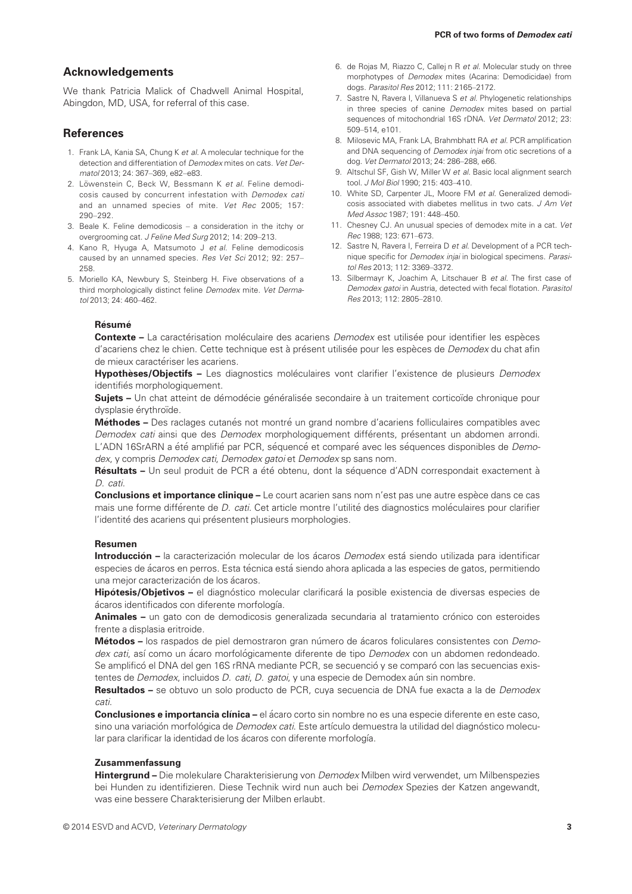#### Acknowledgements

We thank Patricia Malick of Chadwell Animal Hospital, Abingdon, MD, USA, for referral of this case.

# **References**

- 1. Frank LA, Kania SA, Chung K et al. A molecular technique for the detection and differentiation of Demodex mites on cats. Vet Dermatol 2013; 24: 367–369, e82–e83.
- 2. Löwenstein C, Beck W, Bessmann K et al. Feline demodicosis caused by concurrent infestation with Demodex cati and an unnamed species of mite. Vet Rec 2005; 157: 290–292.
- 3. Beale K. Feline demodicosis a consideration in the itchy or overgrooming cat. J Feline Med Surg 2012; 14: 209–213.
- 4. Kano R, Hyuga A, Matsumoto J et al. Feline demodicosis caused by an unnamed species. Res Vet Sci 2012; 92: 257– 258.
- 5. Moriello KA, Newbury S, Steinberg H. Five observations of a third morphologically distinct feline Demodex mite. Vet Dermatol 2013; 24: 460–462.
- 6. de Rojas M, Riazzo C, Callej n R et al. Molecular study on three morphotypes of Demodex mites (Acarina: Demodicidae) from dogs. Parasitol Res 2012; 111: 2165–2172.
- 7. Sastre N, Ravera I, Villanueva S et al. Phylogenetic relationships in three species of canine Demodex mites based on partial sequences of mitochondrial 16S rDNA. Vet Dermatol 2012; 23: 509–514, e101.
- 8. Milosevic MA, Frank LA, Brahmbhatt RA et al. PCR amplification and DNA sequencing of *Demodex injai* from otic secretions of a dog. Vet Dermatol 2013; 24: 286–288, e66.
- 9. Altschul SF, Gish W, Miller W et al. Basic local alignment search tool. J Mol Biol 1990; 215: 403–410.
- 10. White SD, Carpenter JL, Moore FM et al. Generalized demodicosis associated with diabetes mellitus in two cats. J Am Vet Med Assoc 1987; 191: 448–450.
- 11. Chesney CJ. An unusual species of demodex mite in a cat. Vet Rec 1988; 123: 671–673.
- 12. Sastre N, Ravera I, Ferreira D et al. Development of a PCR technique specific for Demodex injai in biological specimens. Parasitol Res 2013; 112: 3369–3372.
- 13. Silbermayr K, Joachim A, Litschauer B et al. The first case of Demodex gatoi in Austria, detected with fecal flotation. Parasitol Res 2013; 112: 2805–2810.

#### Résumé

Contexte - La caractérisation moléculaire des acariens Demodex est utilisée pour identifier les espèces d'acariens chez le chien. Cette technique est à présent utilisée pour les espèces de Demodex du chat afin de mieux caractériser les acariens.

Hypothèses/Objectifs - Les diagnostics moléculaires vont clarifier l'existence de plusieurs Demodex identifiés morphologiquement.

Sujets - Un chat atteint de démodécie généralisée secondaire à un traitement corticoïde chronique pour dysplasie érythroïde.

Méthodes - Des raclages cutanés not montré un grand nombre d'acariens folliculaires compatibles avec Demodex cati ainsi que des Demodex morphologiquement différents, présentant un abdomen arrondi. L'ADN 16SrARN a été amplifié par PCR, séquencé et comparé avec les séquences disponibles de Demodex, y compris Demodex cati, Demodex gatoi et Demodex sp sans nom.

Résultats - Un seul produit de PCR a été obtenu, dont la séquence d'ADN correspondait exactement à D. cati.

Conclusions et importance clinique – Le court acarien sans nom n'est pas une autre espèce dans ce cas mais une forme différente de D. cati. Cet article montre l'utilité des diagnostics moléculaires pour clarifier l'identité des acariens qui présentent plusieurs morphologies.

#### Resumen

Introducción - la caracterización molecular de los ácaros Demodex está siendo utilizada para identificar especies de ácaros en perros. Esta técnica está siendo ahora aplicada a las especies de gatos, permitiendo una mejor caracterización de los ácaros.

Hipótesis/Objetivos - el diagnóstico molecular clarificará la posible existencia de diversas especies de ácaros identificados con diferente morfología.

Animales – un gato con de demodicosis generalizada secundaria al tratamiento crónico con esteroides frente a displasia eritroide.

Métodos - los raspados de piel demostraron gran número de ácaros foliculares consistentes con Demodex cati, así como un ácaro morfológicamente diferente de tipo Demodex con un abdomen redondeado. Se amplificó el DNA del gen 16S rRNA mediante PCR, se secuenció y se comparó con las secuencias existentes de Demodex, incluidos D. cati, D. gatoi, y una especie de Demodex aún sin nombre.

Resultados - se obtuvo un solo producto de PCR, cuya secuencia de DNA fue exacta a la de Demodex cati.

Conclusiones e importancia clínica – el ácaro corto sin nombre no es una especie diferente en este caso, sino una variación morfológica de Demodex cati. Este artículo demuestra la utilidad del diagnóstico molecular para clarificar la identidad de los ácaros con diferente morfología.

#### Zusammenfassung

Hintergrund – Die molekulare Charakterisierung von Demodex Milben wird verwendet, um Milbenspezies bei Hunden zu identifizieren. Diese Technik wird nun auch bei Demodex Spezies der Katzen angewandt, was eine bessere Charakterisierung der Milben erlaubt.